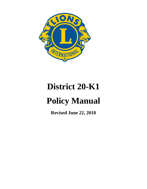

# **District 20-K1**

# **Policy Manual**

**Revised June 22, 2018**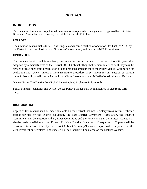# **PREFACE**

## **INTRODUCTION**

The contents of this manual, as published, constitute various procedures and policies as approved by Past District Governors' Association, and a majority vote of the District 20-K1 Cabinet.

#### **PURPOSE**

The intent of this manual is to set, in writing, a standardized method of operation for District 20-K1by the District Governor, Past District Governors' Association, and District 20-K1 Committees.

#### **OPERATION**

The policies herein shall immediately become effective at the start of the next Lionsitic year after adoption by a majority vote of the District 20-K1 Cabinet. They shall remain in effect until they may be revised or rescinded after presentation of any proposed amendment to the Policy Manual Committee for evaluation and review, unless a more restrictive procedure is set herein for any section or portion thereof. No policy shall contradict the Lions Clubs International and MD-20 Constitution and By-Laws.

Manual Form: The District 20-K1 shall be maintained in electronic form only.

Policy Manual Revisions: The District 20-K1 Policy Manual shall be maintained in electronic form only.

#### **DISTRIBUTION**

Copies of this manual shall be made available by the District Cabinet Secretary/Treasurer in electronic format for use by the District Governor, the Past District Governors' Association, the Finance Committee, and Constitution and By-Laws Committee and the Policy Manual Committee. Copies may also be made available to the  $1<sup>st</sup>$  and  $2<sup>nd</sup>$  Vice District Governors, if requested. Copies shall be distributed to a Lions Club by the District Cabinet Secretary/Treasurer, upon written request from the Club President or Secretary. The updated Policy Manual will be placed on the District Website.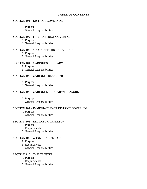#### **TABLE OF CONTENTS**

#### SECTION 101 – DISTRICT GOVERNOR

A. Purpose

B. General Responsibilities

SECTION 102 – FIRST DISTRICT GOVERNOR

A. Purpose

B. General Responsibilities

#### SECTION 103 – SECOND FISTRICT GOVERNOR

A. Purpose

B. General Responsibilities

SECTION 104 – CABINET SECRETARY

A. Purpose

B. General Responsibilities

#### SECTION 105 – CABINET TREASURER

A. Purpose

B. General Responsibilities

#### SECTION 106 – CABINET SECRETARY/TREASURER

A. Purpose B. General Responsibilities

#### SECTION 107 – IMMEDIATE PAST DISTRICT GOVERNOR

A. Purpose

B. General Responsibilities

#### SECTION 108 – REGION CHAIRPERSON

A. Purpose

- B. Requirements
- C. General Responsibilities

#### SECTION 109 – ZONE CHAIRPERSON

A. Purpose

- B. Requirements
- C. General Responsibilities

#### SECTION 110 – TAIL TWISTER

- A. Purpose
- B. Requirements
- C. General Responsibilities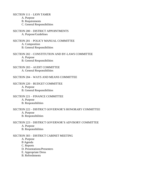#### SECTION 111 – LION TAMER

- A. Purpose
- B. Requirements
- C. General Responsibilities
- SECTION 200 DISTRICT APPOINTMENTS A. Purpose/Guidelines
- SECTION 201 POLICY MANUAL COMMITTEE
	- A. Composition
	- B. General Responsibilities
- SECTION 202 CONSTITUTION AND BY-LAWS COMMITTEE
	- A. Purpose
	- B. General Responsibilities
- SECTION 203 AUDIT COMMITTEE
	- A. General Responsibilities
- SECTION 204 WAYS AND MEANS COMMITTEE
- SECTION 220 BUDGET COMMITTEE
	- A. Purpose
	- B. General Responsibilities
- SECTION 221 FINANCE COMMITTEE
	- A. Purpose
	- B. Responsibilities

#### SECTION 222 – DISTRICT GOVERNOR'S HONORARY COMMITTEE

- A. Purpose
- B. Responsibilities
- SECTION 223 DISTRICT GOVERNOR'S ADVISORY COMMITTEE
	- A. Purpose
	- B. Responsibilities

#### SECTION 303 – DISTRICT CABINET MEETING

- A. Purpose
- B Agenda
- C. Reports
- D. Presentations/Presenters
- E. Appropriate Dress
- B. Refreshments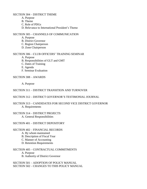SECTION 304 – DISTRICT THEME

- A. Purpose
- B. Theme
- C. Role of PDGs
- D. Relevance to International President's Theme

#### SECTION 305 – CHANNELS OF COMMUNICATION

- A. Purpose
- B. District Governor
- C. Region Chairperson
- D. Zone Chairperson

#### SECTION 306 – CLUB OFFICERS' TRAINING SEMINAR

- A. Purpose
- B. Responsibilities of GLT and GMT
- C. Dates of Training
- E. Agenda
- F. Seminar Evaluation

#### SECTION 308 – AWARDS

A. Purpose

#### SECTION 311 – DISTRICT TRANSITION AND TURNOVER

- SECTION 312 DISTRICT GOVERNOR'S TESTIMONIAL JOURNAL
- SECTION 313 CANDIDATES FOR SECOND VICE DISTRICT GOVERNOR A. Requirements

# SECTION 314 – DISTRICT PROJECTS A. General Responsibilities

#### SECTION 401 – DISTRICT DEPOSITORY

#### SECTION 402 – FINANCIAL RECORDS

- A. By whom maintained
- B. Description of Fiscal Year
- C. Manner of Accounting
- D. Retention Requirements

#### SECTION 405 – CONTRACTUAL COMMITMENTS

- A. Purpose
- B. Authority of District Governor

SECTION 501 – ADOPTION OF POLICY MANUAL SECTION 502 – CHANGES TO THIS POLICY MANUAL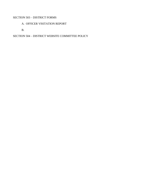# SECTION 503 – DISTRICT FORMS

# A. OFFICER VISITATION REPORT

B.

SECTION 504 – DISTRICT WEBSITE COMMITTEE POLICY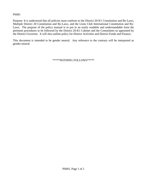#### PS001

Purpose: It is understood that all policies must conform to the District 20-K1 Constitution and By-Laws, Multiple District 20 Constitution and By-Laws, and the Lions Club International Constitution and By-Laws. The purpose of the policy manual is to put in an easily readable and understandable form the pertinent procedures to be followed by the District 20-K1 Cabinet and the Committees so appointed by the District Governor. It will also outline policy for District Activities and District Funds and Finance.

This document is intended to be gender neutral. Any reference to the contrary will be interpreted as gender neutral.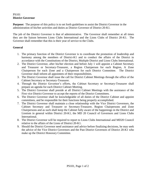# PS101 **District Governor**

**Purpose:** The purpose of this policy is to set forth guidelines to assist the District Governor in the administration of his/her activities and duties as District Governor of District 20-K1.

The job of the District Governor is that of administrative. The Governor shall remember at all times they are the liaison between Lions Clubs International and the Lions Clubs of District 20-K1. The Governor shall remember that this is their year of service to the Clubs.

# **General**

- 1. The primary function of the District Governor is to coordinate the promotion of leadership and harmony among the members of District-K1 and to conduct the affairs of the District in accordance with the Constitutions of the District, Multiple District and Lions Clubs International.
- 2. The District Governor, after his/her election and before July 1 will appoint a Cabinet Secretary and Treasurer or Secretary-Treasurer, a Region Chairperson for each Region, A Zone Chairperson for each Zone and a Chairperson for each District Committee. The District Governor shall inform all appointees of their responsibilities.
- 3. The District Governor shall issue the call for District Cabinet Meetings through the office of the Cabinet Secretary or Secretary-Treasurer.
- 4. Through the District Governor's efforts, the Cabinet Secretary or Secretary-Treasurer shall prepare an agenda for each District Cabinet Meeting.
- 5. The District Governor shall preside at all District Cabinet Meetings with the assistance of the First vice District Governor to accept the reports of the District Committees.
- 6. The District Governor shall be knowledgeable of all duties of the District Cabinet and appoint committees, and be responsible for their functions being properly accomplished.
- 7. The District Governor shall maintain a close relationship with the Vice District Governors, the Cabinet Secretary and Treasurer or Secretary-Treasurer, Region Chairpersons and Zone Chairpersons and as such shall keep the Cabinet fully aware of the happenings in the District and Lionism in general within District 20-K1, the MD 20 Council of Governors and Lions Clubs International.
- 8. The District Governor will be required to report to Lions Clubs International and MD20 Council relative to the affairs of the Lions of District 20-K1.
- 9. Should the District Governor need assistance and advice before finalizing decisions, he may seek the advice of the Vice District Governors and the Past District Governors of District 20-K1 who make up the District Honorary Committee.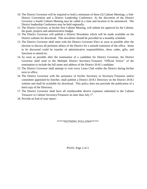- 10. The District Governor will be required to hold a minimum of three (3) Cabinet Meetings, a Sub-District Convention and a District Leadership Conference. At the discretion of the District Governor a fourth Cabinet Meeting may be called at a time and location to be announced. The District leadership Conference may be held regionally.
- 11. The District Governor, at his/her first Cabinet Meeting, will submit for approval by the Cabinet, the goals, projects and administrative budget.
- 12. The District Governor will publish a District Newsletter which will be made available on the District website for download. This newsletter should be provided on a monthly schedule.
- 13. The District Governor shall meet with the District Governor Elect as soon as possible after the election to discuss all pertinent affairs of the District for a smooth transition of the office. Items to be discussed could be transfer of administrative responsibilities, dress codes, gifts, and functions to attend etc.
- 14. As soon as possible after the nomination of a candidate for District Governor, the District Governor shall send to the Multiple District Secretary-Treasurer "Official Notice" of the nomination to include the full name and address of the District 20-K1 candidate.
- 15. The District Governor shall attempt to visit every Lions Club within the District during his/her term in office.
- 16. The District Governor with the assistance of his/her Secretary or Secretary-Treasurer and/or committee appointed by him/her, shall publish a District 20-K1 Directory on the District 20-K1 website and shall be available for download. This policy does not preclude the publication of a hard copy of the Directory.
- 17. The District Governor shall have all reimbursable district expenses submitted to the Cabinet Treasurer or Cabinet Secretary/Treasurer no later than July 1<sup>st</sup>.
- 18. Provide an End of year report -

\*\*\*\*\*NOTHING FOLLOWS\*\*\*\*\*

PS101, Page 2 of 2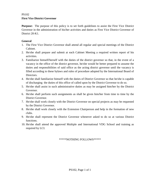# PS102 **First Vice District Governor**

**Purpose:** The purpose of this policy is to set forth guidelines to assist the First Vice District Governor in the administration of his/her activities and duties as First Vice District Governor of District 20-K<sub>1</sub>

# **General**

- 1. The First Vice District Governor shall attend all regular and special meetings of the District Cabinet.
- 2. He/she shall prepare and submit at each Cabinet Meeting a required written report of his activities.
- 3. Familiarize himself/herself with the duties of the district governor so that, in the event of a vacancy in the office of the district governor, he/she would be better prepared to assume the duties and responsibilities of said office as the acting district governor until the vacancy is filled according to these bylaws and rules of procedure adopted by the International Board of Directors.
- 4. He/she shall familiarize himself with the duties of District Governor so that he/she is capable of discharging the duties of this office of called upon by the District Governor to do so.
- 5. He/she shall assist in such administrative duties as may be assigned him/her by the District Governor.
- 6. He/she shall perform such assignments as shall be given him/her from time to time by the District Governor.
- 7. He/she shall work closely with the District Governor on special projects as may be requested by the District Governor.
- 8. He/she shall work closely with the Extension Chairperson and help in the formation of new clubs.
- 9. He/she shall represent the District Governor whenever asked to do so at various District functions.
- 10. He/she shall attend the approved Multiple and International VDG School and training as required by LCI.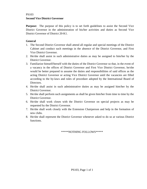#### PS103 **Second Vice District Governor**

**Purpose:** The purpose of this policy is to set forth guidelines to assist the Second Vice District Governor in the administration of his/her activities and duties as Second Vice District Governor of District 20-K1.

# **General**

- 1. The Second District Governor shall attend all regular and special meetings of the District Cabinet and conduct such meetings in the absence of the District Governor, and First Vice District Governor.
- 2. He/she shall assist in such administrative duties as may be assigned to him/her by the District Governor.
- 3. Familiarize himself/herself with the duties of the District Governor so that, in the event of a vacancy in the offices of District Governor and First Vice District Governor, he/she would be better prepared to assume the duties and responsibilities of said offices as the acting District Governor or acting Vice District Governor until the vacancies are filled according to the by-laws and rules of procedure adopted by the International Board of Directors.
- 4. He/she shall assist in such administrative duties as may be assigned him/her by the District Governor.
- 5. He/she shall perform such assignments as shall be given him/her from time to time by the District Governor.
- 6. He/she shall work closes with the District Governor on special projects as may be requested by the District Governor.
- 7. He/she shall work closely with the Extension Chairperson and help in the formation of new clubs.
- 8. He/she shall represent the District Governor whenever asked to do so at various District functions.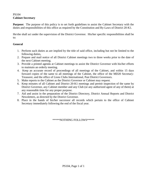# PS104 **Cabinet Secretary**

**Purpose:** The purpose of this policy is to set forth guidelines to assist the Cabinet Secretary with the duties and responsibilities of this office as required by the Constitution and By-Laws of District 20-K1.

He/she shall act under the supervision of the District Governor. His/her specific responsibilities shall be to:

# **General**

- 1. Perform such duties as are implied by the title of said office, including but not be limited to the following duties,
- 2. Prepare and mail notice of all District Cabinet meetings two to three weeks prior to the date of the next Cabinet meeting.
- 3. Provide a printed agenda at Cabinet meetings to assist the District Governor with his/her efforts to maintain an orderly meeting.
- 4. Keep an accurate record of proceedings of all meetings of the Cabinet, and within 15 days forward copies of the same to all meetings of the Cabinet, the office of the MD20 Secretary-Treasurer, and the office of Lions Clubs International, Past District Governors.
- 5. Make reports to the Cabinet as the District Governor or Cabinet may request.
- 6. Keep minutes of all Cabinet and District 20-K1 meetings and permit inspection of the same by District Governor, any Cabinet member and any Club (or any authorized agent of any of them) at any reasonable time for any proper purpose.
- 7. Aid and assist in the preparation of the District Directory, District Annual Reports and District Newsletters, as directed by the District Governor.
- 8. Place in the hands of his/her successor all records which pertain to the office of Cabinet Secretary immediately following the end of the fiscal year.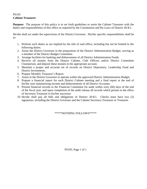# PS105 **Cabinet Treasurer**

**Purpose:** The purpose of this policy is to set forth guidelines to assist the Cabinet Treasurer with the duties and responsibilities of this office as required by the Constitution and By-Laws of District 20-K1.

He/she shall act under the supervision of the District Governor. His/her specific responsibilities shall be to:

- 1. Perform such duties as are implied by the title of said office, including but not be limited to the following duties.
- 2. Assist the District Governor in the preparation of the District Administration Budget, serving as a member of the District Budget Committee.
- 3. Arrange facilities for banking and disbursement of all District Administration Funds.
- 4. Receive all monies from the District Cabinet, Club Officers and/or District Committee Chairperson, and deposit these monies in the appropriate account.
- 5. Maintain a proper and accurate set of records on District Depository, Leadership Fund and District Investments.
- 6. Prepare Monthly Treasurer's Report.
- 7. Assist in the District Governor to operate within the approved District Administration Budget.
- 8. Prepare a financial report for each District Cabinet meeting and a final report at the end of his/her year summarizing income and disbursements of all District Accounts.
- 9. Present financial records to the Financial Committee for audit within sixty (60) days of the end of the fiscal year, and upon completion of the audit release all records which pertain to the office of Secretary-Treasurer to his/her successor.
- 10. He/she shall pay all bills and obligations of District 20-K1. Checks must have two (2) signatures, including the District Governor and the Cabinet Secretary-Treasurer or Treasurer.

#### \*\*\*\*\*NOTHING FOLLOWS\*\*\*\*\*

PS105, Page 1 of 1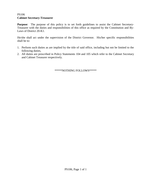# PS106 **Cabinet Secretary-Treasurer**

**Purpose**: The purpose of this policy is to set forth guidelines to assist the Cabinet Secretary-Treasurer with the duties and responsibilities of this office as required by the Constitution and By-Laws of District 20-K1.

He/she shall act under the supervision of the District Governor. His/her specific responsibilities shall be to:

- 1. Perform such duties as are implied by the title of said office, including but not be limited to the following duties,
- 2. All duties are prescribed in Policy Statements 104 and 105 which refer to the Cabinet Secretary and Cabinet Treasurer respectively.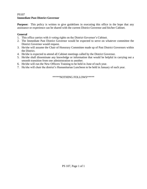# PS107 **Immediate Past District Governor**

**Purpose:** This policy is written to give guidelines in executing this office in the hope that any assistance or experience can be shared with the current District Governor and his/her Cabinet.

# **General**

- 1. This office carries with it voting rights on the District Governor's Cabinet.
- 2. The Immediate Past District Governor would be expected to serve on whatever committee the District Governor would request.
- 3. He/she will assume the Chair of Honorary Committee made up of Past District Governors within the District.
- 4. He/she is expected to attend all Cabinet meetings called by the District Governor.
- 5. He/she shall disseminate any knowledge or information that would be helpful in carrying out a smooth transition from one administration to another.
- 6. He/she will run the New Officers Training to be held in June of each year.
- 7. He/she will chair the district's Humanitarian Luncheon to be held in January of each year.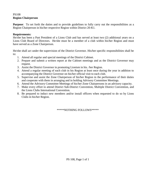# PS108 **Region Chairperson**

**Purpose**: To set forth the duties and to provide guidelines to fully carry out the responsibilities as a Region Chairperson in his/her respective Region within District 20-K1.

# **Requirements:**

He/she has been a Past President of a Lions Club and has served at least two (2) additional years on a Lions Club Board of Directors. He/she must be a member of a club within his/her Region and must have served as a Zone Chairperson.

He/she shall act under the supervision of the District Governor. His/her specific responsibilities shall be to:

- 1. Attend all regular and special meetings of the District Cabinet.
- 2. Prepare and submit a written report at the Cabinet meetings and as the District Governor may request.
- 3. Assist the District Governor in promoting Lionism in his. /her Region.
- 4. Attend a regular meeting of each club in his Region at least once during the year in addition to accompanying the District Governor on his/her official visit to each club.
- 5. Supervise and assist the Zone Chairperson of his/her Region in the performance of their duties and cooperate with them in arranging and in holding Advisory Committee Meetings.
- 6. Attend the Advisory Committee Meetings of his/her Zone Chairpersons in an advisory capacity.
- 7. Make every effort to attend District Sub-District Convention, Multiple District Convention, and the Lions Clubs International Convention.
- 8. Be prepared to induct new members and/or install officers when requested to do so by Lions Clubs in his/her Region.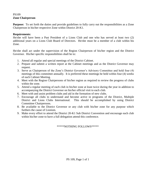# PS109 **Zone Chairperson**

**Purpose:** To set forth the duties and provide guidelines to fully carry out the responsibilities as a Zone Chairperson in his/her respective Zone within District 20-K1.

# **Requirements**:

He/she will have been a Past President of a Lions Club and one who has served at least two (2) additional years on a Lions Club Board of Directors. He/she must be a member of a club within his Zone.

He/she shall act under the supervision of the Region Chairperson of his/her region and the District Governor. His/her specific responsibilities shall be to:

- 1. Attend all regular and special meetings of the District Cabinet.
- 2. Prepare and submit a written report at the Cabinet meetings and as the District Governor may request.
- 3. Serve as Chairperson of the Zone's District Governor's Advisory Committee and hold four (4) meetings of this committee annually. It is preferred these meetings be held within four (4) weeks of each Cabinet Meeting.
- 4. Meet with the Region Chairpersons of his/her region as required to review the progress of clubs within the zone.
- 5. Attend a regular meeting of each club in his/her zone at least twice during the year in addition to accompanying the District Governor on his/her official visit to each club.
- 6. Meet with and assist problem clubs and aid in the formation of new clubs.
- 7. Encourage all clubs to understand and become active in programs of the District, Multiple District and Lions Clubs International. This should be accomplished by using District Committee Chairpersons.
- 8. Be available to the District Governor or any club with his/her zone for any purpose which furthers the cause of Lionism.
- 9. Make every effort to attend the District 20-K1 Sub District Convention and encourage each club within his/her zone to have a full delegation attend this conference.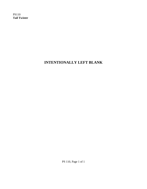PS110 **Tail Twister**

**INTENTIONALLY LEFT BLANK**

PS 110, Page 1 of 1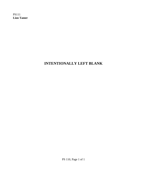PS111 **Lion Tamer**

# **INTENTIONALLY LEFT BLANK**

PS 110, Page 1 of 1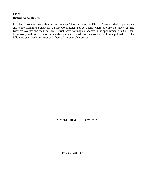### PS200 **District Appointments**

In order to promote a smooth transition between Lionsitic years, the District Governor shall appoint each and every Committee chair for District Committees and co-Chairs where appropriate. However The District Governor and the First Vice District Governor may collaborate in the appointment of a Co-Chair if necessary and used. It is recommended and encouraged that the Co-chair will be appointed chair the following year. Each governor will choose their own Chairpersons.

#### \*\*\*\*\*NOTHING FOLLOWS\*\*\*\*\*

PS 200, Page 1 of 1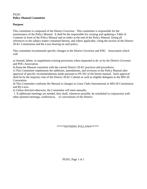# PS201 **Policy Manual Committee**

# **Purpose**:

This committee is composed of the District Governor. This committee is responsible for the maintenance of the Policy Manual. It shall be the responsible for creating and updating a Table of Contents in front of the Policy Manual and an index at the end of the Policy Manual, listing all references to the subject matter contained therein, and where applicable, citing the section of the District 20-K1 Constitution and By-Laws bearing on said policy.

This committee recommends specific changes to the District Governor and PDG Association which will:

a) Amend, delete, or supplement existing provisions when requested to do so by the District Governor and PDG Association.

b) Keep the Manual consistent with the current District 20-K1 practices and procedures.

c) This Committee implements the additions, amendments, and revisions to the Policy Manual after approval of specific recommendations made pursuant to PS 501 of the herein manual. Such approval shall be by the majority vote of the District 20-K1 Cabinet as well as eligible delegates to the MD-20 Convention.

d) This Committee conforms the Manual to changes in Lions Clubs International or MD-20 Constitution and By-Laws.

e) Unless directed otherwise, the Committee will meet annually.

1. If additional meetings are needed, they shall, whenever possible, be scheduled in conjunction with other planned meetings, conferences, or conventions of the District.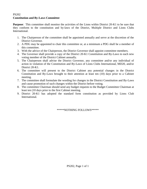# PS202 **Constitution and By-Laws Committee**

**Purpose**: This committee shall monitor the activities of the Lions within District 20-K1 to be sure that they conform to the constitution and by-laws of the District, Multiple District and Lions Clubs International.

- 1. The Chairperson of the committee shall be appointed annually and serve at the discretion of the District Governor.
- 2. A PDG may be appointed to chair this committee or, at a minimum a PDG shall be a member of this committee.
- 3. With the advice of the Chairperson, the District Governor shall appoint committee members.
- 4. The Governor shall provide a copy of the District 20-K1 Constitution and By-Laws to each new voting member of the District Cabinet annually.
- 5. The Chairperson shall advise the District Governor, any committee and/or any individual of action in violation of the Constitution and By-Laws of Lions Clubs International, MD20, and/or District 20-K1.
- 6. The committee will present to the District Cabinet any potential changes in the District Constitution and By-Laws brought to their attention at least ten (10) days prior to a Cabinet meeting.
- 7. The committee shall formulate the wording for changes in the District Constitution and By-Laws and cause promotion of such changes within the District before voting.
- 8. The committee Chairman should send any budget requests to the Budget Committee Chairman at least ten (10 days prior to the first Cabinet meeting.
- 9. District 20-K1 has adopted the standard form constitution as provided by Lions Club International.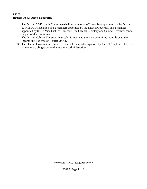#### PS203 **District 20-K1 Audit Committee**

- 1. The District 20-K1 audit Committee shall be composed of 2 members appointed by the District 20-K1PDG Association and 2 members appointed by the District Governor, and 1 member appointed by the 1<sup>st</sup> Vice District Governor. The Cabinet Secretary and Cabinet Treasurer cannot be part of the committee.
- 2. The District Cabinet Treasurer must submit reports to the audit committee monthly as to the Income and Expense of District 20-K1.
- 3. The District Governor is required to meet all financial obligations by June  $30<sup>th</sup>$  and must leave a no monetary obligations to the incoming administration.

#### \*\*\*\*NOTHING FOLLOWS\*\*\*\*

PS203, Page 1 of 1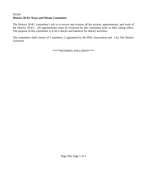# PS204 **District 20-K1 Ways and Means Committee**

The District 20-K1 committee's job is to review and oversee all the actions, appointments, and work of the District 20-K1. All appointments must be reviewed by this committee prior to their taking office. The purpose of this committee is to be a checks and balances for district activities.

The committee shall consist of 5 members, 2 appointed by the PDG Association and 3 by The District Governor.

\*\*\*\*\*NOTHING FOLLOWS\*\*\*\*\*

Page 204, Page 1 of 1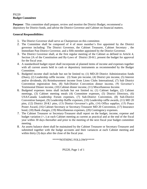#### PS220 **Budget Committee**

**Purpose**: This committee shall prepare, review and monitor the District Budget, recommend a depository for District funds, and advise the District Governor and Cabinet on financial matters.

### **General Responsibilities:**

- 1. The District Governor shall serve as Chairperson on this committee.
- 2. The Committee shall be composed of 4 of more member's five appointed by the District governor including: The District Governor, the Cabinet Treasurer, Cabinet Secretary , the Immediate Past District Governor, and a fifth member appointed by the District Governor.
- 3. The District Governor shall, at the first regular meeting of the Cabinet as defined in Article 4, Section 2A of the Constitution and By-Laws of District 20-K1, present the budget for approval for the fiscal year.
- 4. A standardized budget report shall incorporate al planned items of income and expenses together with all current assets held in cash or depository instruments as recommended by the Budget Committee.
- 5. Budgeted income shall include but not be limited to; (1) MD-20 District Administration funds (Dues), (2) Leadership raffle income. (3) State pin income, (4) District pin income, (5) Interest and/or dividends, (6) Reimbursement income from Lions Clubs International, (7) Sub District Convention registration fees, (8) Sub-District Convention dinner income, (9) Governor's Testimonial Dinner income, (10) Cabinet dinner income, (11) Miscellaneous Income.
- 6. Budgeted expenses items shall include but not limited to; (1) Cabinet badges, (2) Cabinet meetings, (3) Cabinet meeting meals (4) Committee expenses, (5) District Directory, (6) USA/Canada Leadership Forum expenses, (7) Sub-District Convention, (8) Sub-District Convention banquet, (9) Leadership Raffle expenses, (10) Leadership raffle awards, (11) MD 20 pins, (12) District 20-K1 pins, (13) District Governor's gifts, (14) Office supplies, (15) Peace Poster Award, (16) Cabinet Secretary or Secretary-Treasurer MD 20 Convention, (17) Insurance bond, (18) Bank charges, (19) Miscellaneous expenses, (20) Contingency expenses.
- 7. The Cabinet Treasurer or Secretary-Treasurer shall report on the budget, income, expense and budget variation  $(+,-)$  at each Cabinet meeting as current as practical and at the end of the fiscal year within 30 days thereafter and prior to the meeting of the next fiscal year budget committee meeting.
- 8. An assets balance sheet shall be maintained by the Cabinet Treasurer or Secretary-Treasurer and submitted together with the budge accounts and their variances at each Cabinet meeting and within thirty (3) days after the close of the fiscal year.

#### \*\*\*\*\*NOTHING FOLLOWS\*\*\*\*\*

PS220, Page 1 of 1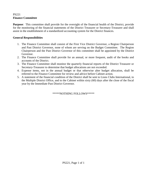#### PS221 **Finance Committee**

**Purpose**: This committee shall provide for the oversight of the financial health of the District, provide for the monitoring of the financial statements of the District Treasurer or Secretary-Treasurer and shall assist in the establishment of a standardized accounting system for the District finances.

# **General Responsibilities**

- 1. The Finance Committee shall consist of the First Vice District Governor, a Region Chairperson and Past District Governor, none of whom are serving on the Budget Committee. The Region Chairperson and the Past District Governor of this committee shall be appointed by the District Governor.
- 2. The Finance Committee shall provide for an annual, or more frequent, audit of the books and accounts of the District.
- 3. The Finance Committee shall monitor the quarterly financial reports of the District Treasurer or Secretary-Treasurer to determine that budget allocations are not exceeded.
- 4. Expense items, not in the annual budget or that otherwise alter budget allocation, shall be referred to the Finance Committee for review and advice before Cabinet action.
- 5. A statement of the financial condition of the District shall be sent to Lions Clubs International, to the Multiple District Office, and to the Cabinet within sixty (60) days after the close of the fiscal year by the Immediate Past District Governor.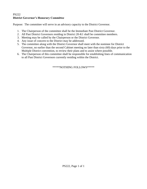# PS222 **District Governor's Honorary Committee**

Purpose: The committee will serve in an advisory capacity to the District Governor.

- 1. The Chairperson of the committee shall be the Immediate Past District Governor.
- 2. All Past District Governors residing in District 20-K1 shall be committee members.
- 3. Meeting may be called by the Chairperson or the District Governor.
- 4. Any issue of concern to the District may be addressed.
- 5. The committee along with the District Governor shall meet with the nominee for District Governor, no earlier than the second Cabinet meeting no later than sixty (60) days prior to the Multiple District convention, to review their plans and to assist where possible.
- 6. The Chairperson of this committee shall be responsible for establishing lines of communication to all Past District Governors currently residing within the District.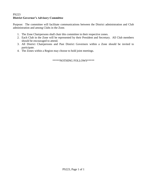# PS223 **District Governor's Advisory Committee**

Purpose: The committee will facilitate communications between the District administration and Club administration and among Clubs in the Zone.

- 1. The Zone Chairpersons shall chair this committee in their respective zones.
- 2. Each Club in the Zone will be represented by their President and Secretary. All Club members should be encouraged to attend.
- 3. All District Chairpersons and Past District Governors within a Zone should be invited to participate.
- 4. The Zones within a Region may choose to hold joint meetings.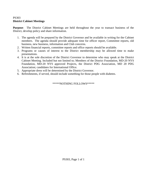# PS303 **District Cabinet Meetings**

**Purpose**: The District Cabinet Meetings are held throughout the year to transact business of the District, develop policy and share information.

- 1. The agenda will be prepared by the District Governor and be available in writing for the Cabinet members. The agenda should provide adequate time for officer report, Committee reports, old business, new business, information and Club concerns.
- 2. Written financial reports, committee reports and office reports should be available.
- 3. Programs or causes of interest to the District membership may be allowed time to make presentations.
- 4. It is at the sole discretion of the District Governor to determine who may speak at the District Cabinet Meeting. Included but not limited to; Members of the District Foundation, MD-20 NYS Foundation, MD-20 NYS approved Projects, the District PDG Association, MD 20 PDG Association; candidates for International Office.
- 5. Appropriate dress will be determined by the District Governor.
- 6. Refreshments, if served, should include something for those people with diabetes.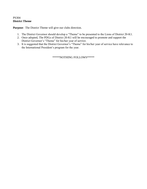# PS304 **District Theme**

**Purpose**: The District Theme will give our clubs direction.

- 1. The District Governor should develop a "Theme" to be presented to the Lions of District 20-K1.
- 2. Once adopted, The PDGs of District 20-K1 will be encouraged to promote and support the District Governor's "Theme" for his/her year of service.
- 3. It is suggested that the District Governor's "Theme" for his/her year of service have relevance to the International President's program for the year.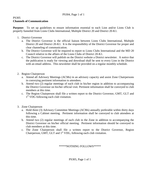# PS304, Page 1 of 1

#### PS305

#### **Channels of Communication**

**Purpose:** To set up guidelines to ensure information essential to each Lion and/or Lions Club is properly funneled from Lions Clubs International, Multiple District 20 and District 20-K1.

- 1. District Governor
	- a. The District Governor is the official liaison between Lions Clubs International, Multiple District 20 and District 20-K1. It is the responsibility of the District Governor for proper and clear channeling of communication.
	- b. The District Governor will be required to report to Lions Clubs International and the MD 20 Council relative to the affairs of the Lions Clubs of District 20-K1.
	- c. The District Governor will publish on the District website a District newsletter. A notice that the publication is ready for viewing and download shall be sent to every Lion in the District with an email address. This newsletter shall be provided on a regular monthly schedule.
- 2. Region Chairperson
	- a. Attend all Advisory Meetings (ACMs) in an advisory capacity and assist Zone Chairpersons in conveying pertinent information to attendees.
	- b. Attend two (2) regular meetings of each club in his/her region in addition to accompanying the District Governor on his/her official visit. Pertinent information shall be conveyed to club members at this time.
	- c. The Region Chairperson shall file a written report to the District Governor, GMT, GLT and 1<sup>st</sup> VDG following each club visitation.
- 3. Zone Chairperson
	- a. Hold three (3) Advisory Committee Meetings (ACMs) annually preferable within thirty days following a Cabinet meeting. Pertinent information shall be conveyed to club attendees at this time.
	- b. Attend two (2) regular meetings of each club in the Zone in addition to accompanying the District Governor on his/her official meeting. Pertinent information should be conveyed to club members at this time.
	- c. The Zone Chairperson shall file a written report to the District Governor, Region Chairperson, GMT, GLT and  $1<sup>st</sup>$  VDG, following each club visitation.

\*\*\*\*\*NOTHING FOLLOWS\*\*\*\*\*

PS305, Page 1 of 1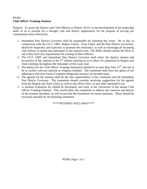# PS306 **Club Officer Training Seminar**

Purpose: To assist the District and Club Officers in District 20-K1 in the development of the leadership skills so as to provide for a stronger club and district organization for the purpose of serving our communities more effectively.

- 1. Immediate Past District Governor shall be responsible for planning this event. He or she, in conjunction with the GLT, GMT, Region Chairs, Zone Chairs and the Past District Governors, should be requested, and expected, to promote the seminar(s), as well as encourage all incoming club officers to attend and participate in this annual event. The IPDG should consult the DGE to ask if they have any requirements for training of their Officers.
- 2. The GLT, GMT and Immediate Past District Governor shall select the date(s), time(s) and location(s) of the seminar at the  $3<sup>rd</sup>$  cabinet meeting so as to allow for promotion at Region and Zone meetings throughout the remainder of the Lions year.
- 3. The date(s) for the Club Officer Training Seminar(s) should be no later than June  $15<sup>th</sup>$ , but not to be in conflict with any national or religious holidays. The committee shall have the option of not adhering to this time frame if multiple (Regional) sessions are decided upon.
- 4. The agenda for the seminar shall be the sole responsibility of the committee and the Immediate Past District Governor. The committee should consider receiving suggestions for the agenda from the Region and Zone Chairs as well as the officer-elect, or any other interested Lion.
- 5. A seminar evaluation for should be developed, and used, at the conclusion of the annual Club Officer Training Seminar. This would allow the committee to address the concerns and desires of the seminar attendees, as well as provide the foundation for future seminars. These should be reviewed annually by the planning committee.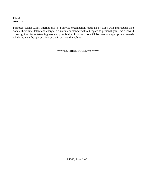#### PS308 **Awards**

Purpose: Lions Clubs International is a service organization made up of clubs with individuals who donate their time, talent and energy in a voluntary manner without regard to personal gain. As a reward or recognition for outstanding service by individual Lions or Lions Clubs there are appropriate rewards which indicate the appreciation of the Lions and the public.

\*\*\*\*\*NOTHING FOLLOWS\*\*\*\*\*

PS308, Page 1 of 1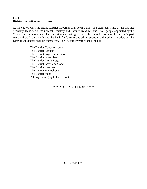# PS311 **District Transition and Turnover**

At the end of May, the sitting District Governor shall form a transition team consisting of the Cabinet Secretary/Treasurer or the Cabinet Secretary and Cabinet Treasurer, and 1 to 2 people appointed by the 1<sup>st</sup> Vice District Governor. The transition team will go over the books and records of the District's past year, and work on transferring the bank funds from one administration to the other. In addition, the District's inventory shall be transferred. The District inventory shall include:

> The District Governor banner The District Banners The District projector and screen The District name plates The District Lion's Logo The District Gavel and Gong The District Speakers The District Microphone The District Stand All flags belonging to the District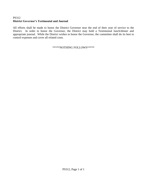# PS312 **District Governor's Testimonial and Journal**

All efforts shall be made to honor the District Governor near the end of their year of service to the District. In order to honor the Governor, the District may hold a Testimonial lunch/dinner and appropriate journal. While the District wishes to honor the Governor, the committee shall do its best to control expenses and cover all related costs.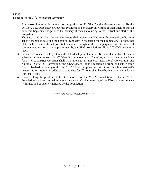# PS313 **Candidates for 2ndVice District Governor**

- 1. Any person interested in running for the position of  $2<sup>nd</sup>$  Vice District Governor must notify the District 20-K1 Past District Governor President and Secretary in writing of their intent to run on or before September  $1<sup>st</sup>$  prior to the January of their announcing to the District and start of the campaign.
- 2. The District 20-K1 Past District Governors shall assign one PDG to each potential candidate to act as a mentor in assisting the potential candidate in preparing for their campaign. Further, that PDG shall remain with that potential candidate throughout their campaign as a mentor and will continue (subject to yearly reappointment by the PDG Association) till the  $2<sup>nd</sup>$  VDG becomes a PDG.
- 3. In an effort to keep the high standards of leadership in District 20-K1, our District has chosen to enhance the requirements for 2<sup>nd</sup> Vice District Governor. Therefore; each and every candidate for 2<sup>nd</sup> Vice District Governor shall have attended at least one International Convention, one Multiple District 20 Convention, one USA/Canada Lions Leadership Forum, and either some form of leadership training (either the MD 20 Leadership Institute, or Lions Clubs International's Leadership Institutes). In addition, a candidate for  $2<sup>nd</sup>$  VDG shall have been a Lion in K-1 for no less than 7 years.
- 4. Lions seeking the position of director or office of the MD-20 Foundation or District 20-K1 Foundation shall not campaign before the second Cabinet meeting of the District in accordance with rules and policies established by the Foundation.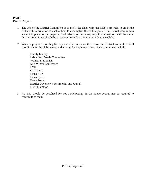# **PS314**

District Projects

- 1. The Job of the District Committee is to assist the clubs with the Club's projects, to assist the clubs with information to enable them to accomplish the club's goals. The District Committees are not in place to run projects, fund raisers, or be in any way in competition with the clubs. District committees should be a resource for information to provide to the Clubs.
- 2. When a project is too big for any one club to do on their own, the District committee shall coordinate for the clubs events and arrange for implementation. Such committees include:

Family fun day Labor Day Parade Committee Women in Lionism Mid-Winter Conference LCIF GLT/GMT Lions Alert Lions Quest Peace Poster District Governor's Testimonial and Journal NYC Marathon

3. No club should be penalized for not participating in the above events, nor be required to contribute to them.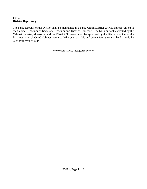# PS401 **District Depository**

The bank accounts of the District shall be maintained in a bank, within District 20-K1, and convenient to the Cabinet Treasurer or Secretary-Treasurer and District Governor. The bank or banks selected by the Cabinet Secretary-Treasurer and the District Governor shall be approved by the District Cabinet at the first regularly scheduled Cabinet meeting. Wherever possible and convenient, the same bank should be used from year to year.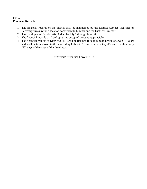### PS402 **Financial Records**

- 1. The financial records of the district shall be maintained by the District Cabinet Treasurer or Secretary-Treasurer at a location convenient to him/her and the District Governor.
- 2. The fiscal year of District 20-K1 shall be July 1 through June 30.
- 3. The financial records shall be kept using accepted accounting principles.
- 4. The financial records of District 20-K1 shall be retained for a minimum period of seven (7) years and shall be turned over to the succeeding Cabinet Treasurer or Secretary-Treasurer within thirty (30) days of the close of the fiscal year.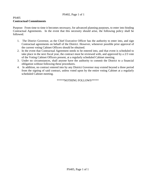# PS402, Page 1 of 1

# PS405 **Contractual Commitments**

Purpose: From time to time it becomes necessary, for advanced planning purposes, to enter into binding Contractual Agreements. In the event that this necessity should arise, the following policy shall be followed.

- 1. The District Governor, as the Chief Executive Officer has the authority to enter into, and sign Contractual agreements on behalf of the District. However, whenever possible prior approval of the current voting Cabinet Officers should be obtained.
- 2. In the event that Contractual Agreement needs to be entered into, and that event is scheduled to take place in the next fiscal year, the contract must be reviewed with, and approved by a 2/3 vote of the Voting Cabinet Officers present, at a regularly scheduled Cabinet meeting.
- 3. Under no circumstances, shall anyone have the authority to commit the District to a financial obligation without following these procedures.
- 4. In addition, no contract entered into by any District Governor may extend beyond a three period from the signing of said contract, unless voted upon by the entire voting Cabinet at a regularly scheduled Cabinet meeting.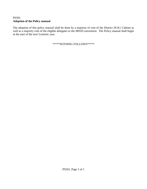# PS501 **Adoption of the Policy manual**

The adoption of this policy manual shall be done by a majority of vote of the District 20-K1 Cabinet as well as a majority vote of the eligible delegates to the MD20 convention. The Policy manual shall begin at the start of the next Lionistic year.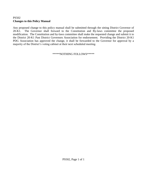## PS502 **Changes to this Policy Manual**

Any proposed change to this policy manual shall be submitted through the sitting District Governor of 20-K1. The Governor shall forward to the Constitution and By-laws committee the proposed modification. The Constitution and by-laws committee shall make the requested change and submit it to the District 20-K1 Past District Governors Association for endorsement. Providing the District 20-K1 PDG Association has approved the change, it shall be forwarded to the Governor for approval by a majority of the District's voting cabinet at their next scheduled meeting.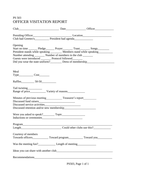# PS 503 OFFICER VISITATION REPORT

| Presiding Officer<br><u>Presiding</u> Officer                                                                                                                                                                                                                                                                                                                                                                |  |  |  |
|--------------------------------------------------------------------------------------------------------------------------------------------------------------------------------------------------------------------------------------------------------------------------------------------------------------------------------------------------------------------------------------------------------------|--|--|--|
| Opening<br>Start on time _________ Pledge________ Prayer_________ Toast_________ Songs_________<br>President stands while speaking ________ Members stand while speaking__________<br>Number attending _________ Number of members in the club ________<br>Guests were introduced __________ Protocol followed_________<br>Did you wear the state uniform?___________ Dress of membership___________________ |  |  |  |
| Meal<br>Type_____________Cost________                                                                                                                                                                                                                                                                                                                                                                        |  |  |  |
| Tail twisting<br>Range of price<br>Variety of reasons Vance Conservation Conservation Conservation Conservation Conservation Conservation Conservation Conservation Conservation Conservation Conservation Conservation Conservati                                                                                                                                                                           |  |  |  |
| Minutes of previous meeting______________Treasurer's report______________________                                                                                                                                                                                                                                                                                                                            |  |  |  |
|                                                                                                                                                                                                                                                                                                                                                                                                              |  |  |  |
| Program                                                                                                                                                                                                                                                                                                                                                                                                      |  |  |  |
| Courtesy of members<br>Towards officers_______________ Toward program_____________ Toward you___________                                                                                                                                                                                                                                                                                                     |  |  |  |
|                                                                                                                                                                                                                                                                                                                                                                                                              |  |  |  |
|                                                                                                                                                                                                                                                                                                                                                                                                              |  |  |  |
|                                                                                                                                                                                                                                                                                                                                                                                                              |  |  |  |

PS503, Page 1 of 1